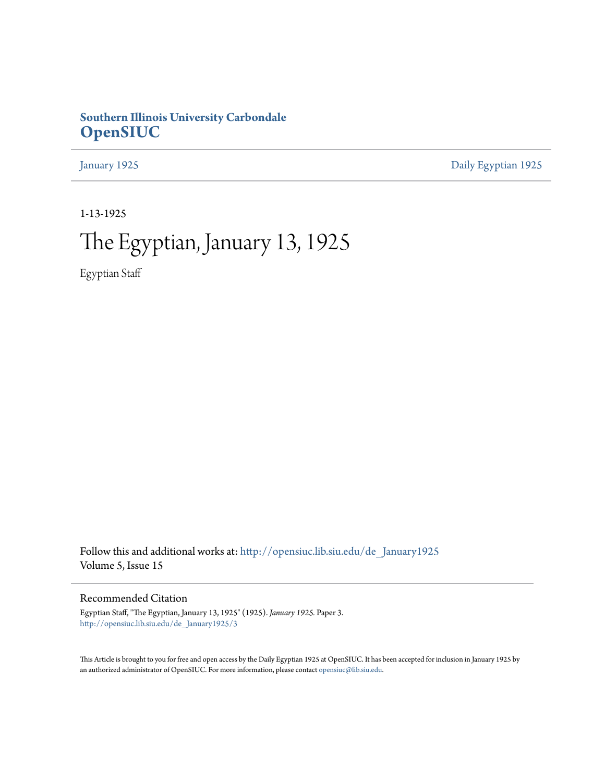## **Southern Illinois University Carbondale [OpenSIUC](http://opensiuc.lib.siu.edu?utm_source=opensiuc.lib.siu.edu%2Fde_January1925%2F3&utm_medium=PDF&utm_campaign=PDFCoverPages)**

[January 1925](http://opensiuc.lib.siu.edu/de_January1925?utm_source=opensiuc.lib.siu.edu%2Fde_January1925%2F3&utm_medium=PDF&utm_campaign=PDFCoverPages) [Daily Egyptian 1925](http://opensiuc.lib.siu.edu/de_1925?utm_source=opensiuc.lib.siu.edu%2Fde_January1925%2F3&utm_medium=PDF&utm_campaign=PDFCoverPages)

1-13-1925

## The Egyptian, January 13, 1925

Egyptian Staff

Follow this and additional works at: [http://opensiuc.lib.siu.edu/de\\_January1925](http://opensiuc.lib.siu.edu/de_January1925?utm_source=opensiuc.lib.siu.edu%2Fde_January1925%2F3&utm_medium=PDF&utm_campaign=PDFCoverPages) Volume 5, Issue 15

Recommended Citation

Egyptian Staff, "The Egyptian, January 13, 1925" (1925). *January 1925.* Paper 3. [http://opensiuc.lib.siu.edu/de\\_January1925/3](http://opensiuc.lib.siu.edu/de_January1925/3?utm_source=opensiuc.lib.siu.edu%2Fde_January1925%2F3&utm_medium=PDF&utm_campaign=PDFCoverPages)

This Article is brought to you for free and open access by the Daily Egyptian 1925 at OpenSIUC. It has been accepted for inclusion in January 1925 by an authorized administrator of OpenSIUC. For more information, please contact [opensiuc@lib.siu.edu.](mailto:opensiuc@lib.siu.edu)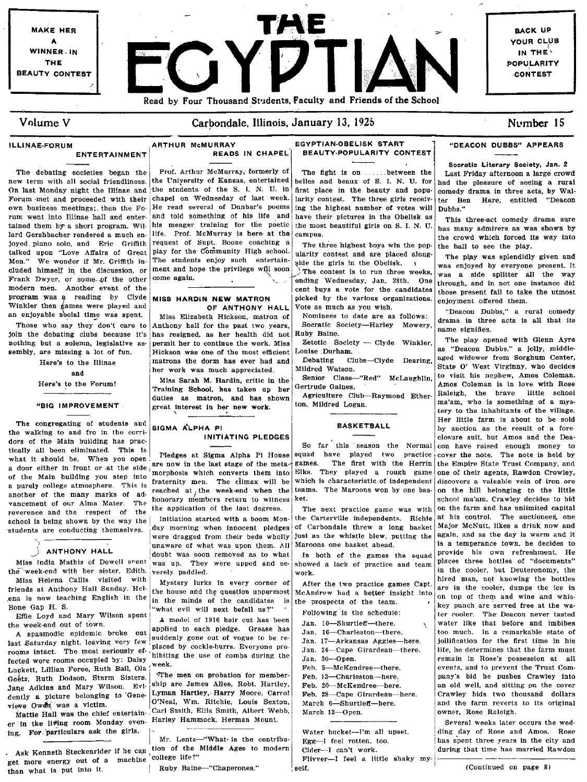

the week-end with her sister, Edith. verely paddled. Miss Helena Callis visited with friends at Anthony Hall Sunday. Hel· ,ena is now teaching English in the Bone Gap H, S.

Effie Loyd and Mary Wilson spent the week·end out of town.

A spasmodic epidemic broke out  $\begin{vmatrix} \text{applied} & \text{to each place.} \\ \text{suddently gone out of vague to be related to the right.} \end{vmatrix}$  -Saturday night, leaving very few placed by cockle-burrs. Everyone prorooms intact. The most seriously ef.  $\mu$ aced by cockne-burrs. Everyone pro-<br>fected were rooms occupied by: Daisy hibiting the use of combs during the Lupkett, Lillian Foree, Ruth Ball, Ola Goetz, Ruth Dodson, Sturm Sisters, The men on probation for member-<br>Goetz, Ruth Dodson, Sturm Sisters, ship are James Allee. Robt. Hartlev. Jane Adkins and Mary Wilson. Evi- ship are James Allee, Robt. Hartley,  $\frac{1}{2}$  and  $\frac{1}{2}$ ,  $\frac{1}{2}$ ,  $\frac{1}{2}$ ,  $\frac{1}{2}$ ,  $\frac{1}{2}$ ,  $\frac{1}{2}$ ,  $\frac{1}{2}$ ,  $\frac{1}{2}$ ,  $\frac{1}{2}$ ,  $\frac{1}{2}$ ,  $\frac{1}{2}$ ,  $\frac{1}{2}$ ,  $\frac{$ dently a picture belonging to Gene- Lyman Hartley. Harry Moore, Carrol

er in the living room Monday even- Harley Hammock, Herman Mount. ing. For particulars ask the girls.

get more energy out of a machine college life?"<br>then what is put into it. | Ruby Baine--"Chaperones." than what is put into it.

was up. They were upped and se-

Mystery lurks in every corner of the house and the question uppermost in the minds of the candidates is "what evil will next befall us?"

A model of 1916 hair cut has been<br>applied to each pledge. Grease has

viewe Owen, was a victim.<br>Carl Smith, Ellis Smith, Albert Webb, Mattie Hall was the chief entertain. Carl Smith, Ellis Smith, Albert Webb,

Mr. Lentz-"What is the contribu-Ask Kenneth Steckenrider if he can tion of the Middle Ages to modern

showed a lack of practice and team work.  $\frac{1}{2}$  is the cooler, but Deuteronomy, the

After the two practice games Capt, McAndrew had a bettef insight into the prospects of the team.

Following is the schedule: Jan. 10-Shurtleff-there. Jan. 16-Charleston-there. Jan. 17-Arkansas Aggies-here. Jan. 24-Cape Girardeau-there. Jan. 30-·0pen. Feb. 5-McKendree-there. Feb. 13-Charleston-here.

Feb. 20-McKendree-here. Feb. 28-Cape Girardeau-here.

March 6-Shurtleff-here. March 13-Open.

Water bucket-I'm all upset. Egg-I feel rotten. too. Cider-I can't work. Flivver-I feel a little shaky my-, selt,

The play was splendidly given and was enjoyed by everyone present. It those present fail to take the utmost

hired man, uqt knowing the bottles are in the cooler, dumps the ice in on top of them and wine and whiskey punch are served free at the water cooler. The' Deacon never tasted water like that before and imbibes too much. In a remarkable state of jollification for the first time in his life, he determines that the farm must remain in Rose's possession at all events, and to prevent the Trust Com· pany's bid he pushes Crawley into an old well, and sitting pn the cover Crawley bids two thousand dollars and the farm reverts to its original owner, Rose Raleigh.

Several weeks later occurs the wedding day of Rose and Amos. Rose has spent three years in the city and during that time has married Rawdon  $my.$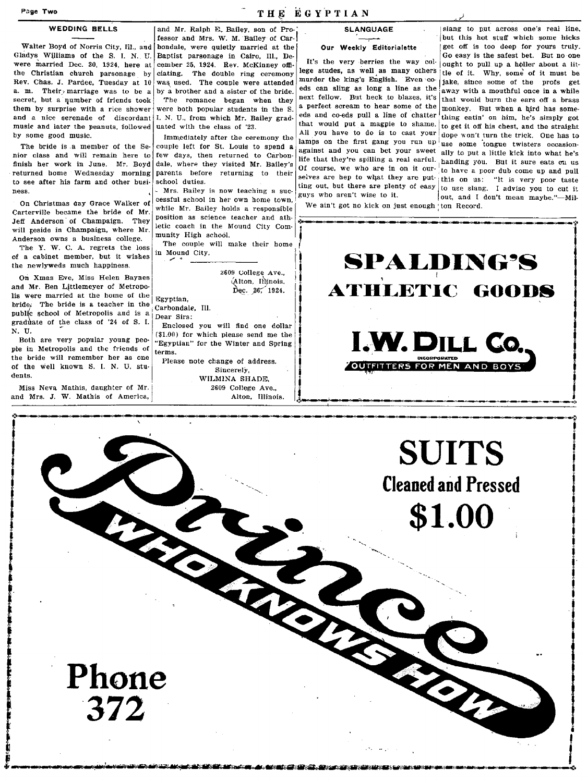### WEDDING BELLS

Walter Boyd of Norris City, Ill., and Gladys WUliams of the S. l. N., U. were married Dec. 30, 1924, here at the Christian church parsonage by Rev. Chas. J. Pardee, Tuesday at 10 a. m. Their marriage was to be a secret, but a qumber of friends took them by surprise with a rice shower and a nice serenade of discordant  $|I, N, U|$ , from which Mr. Bailey gradmusic and later the peanuts, followed uated with the class of '23.

nior class and will remain here to few days, then returned to Carbon-<br>finish her work in June. Mr. Boyd dale, where they visited Mr. Bailey's finish her work in June. Mr. Boyd returned home Wednesday morning to see after his farm and other busi- school duties. ness.

On Christmas day Grace Walker of<br>Carterville became the bride of Mr. Jeff Anderson of Champaign. They will reside in Champaign, where Mr. Anderson owns a business college.

The Y. W. C. A. regrets the loss  $\begin{bmatrix} \text{The couple} \\ \text{in Mound City.} \end{bmatrix}$ of a cabinet member, but it wishes  $\frac{1}{n}$  Mound City. The Y. W. C. A. regrets the loss The couple will make the newlyweds much happiness.

On Xmas Eve, Miss Helen Baynes and Mr. Ben Littlemeyer of Metropolis were married at the home of the  $\left|$  Egyptian, bride; The bride is a teacher in the public school of Metropolis and is a  $\begin{bmatrix} 2a & b & c & d \\ c & d & d & e \end{bmatrix}$  Dear Sirs: graduate of the class of '24 of S. I. Enclosed you will find one dollar  $N$ . U.

pIe in Metropolis and the friends of the bride will remember her as one of the well known S. L N. U. stu· dents.

Miss Neva Mathis, daughter of Mr, and Mrs. J. W. Mathis of America,

**, 1990年1月18日 1月18日 1月18日 1月18日 1月18日 1月18日 1月18日 1月18日 1月18日 1月18日 1月18日 1月18日 1月18日 1月18日 1月18日 1月18日 1月18日 1** 

I

f j. **.-. -** and Mr. Ralph E, Bailey, son of Professor and Mrs. W. M. Bailey of Carbondale, were quietly married at tbe Baptist parsonage in Cairo, Ill., De· cember 25, 1924. Rev. McKinney offieiating. The double ring ceremony was used. The couple were attended by a brotber and a sister of the bride. The romance began when they were both popular students in the S.

by some good music.<br>The bride is a member of the Se-couple left for St. Louis to spend a couple left for St. Louis to spend a parents before returning to their

~ Mrs. Railey is now teaching a successful school in her own home town, while Mr. Bailey holds a responsible position as science teacher and athletic coach in the Mound City Com· munity High schooL

The couple will make their home

2609 College Ave., (Alton, Illinois, Dec.  $26'$  1924.

, I am a strong that the state of the state of the state of the state of the state of the state of the state of t. **j'**  , and the set of  $\mathcal{L}_n$ 

f I

Carbondale, Ill.

U.<br>Both are very popular young peo-<br>"Example" for the Winter and Spring. "Egyptian" for the Winter and Spring terms.

> Please note change of address. Sincerely, WILMINA SHADE, 2609 College Ave., Alton, Illinois.

### SLANGUAGE

### Our Weekly Editorialette

We ain't got no kick on just enough 'ton Record.

slang to put across one's real line. but this hot stuff which some hicks get off is too deep for yours truly.<br>Go easy is the safest bet. But no one It's the very berries the way col·  $\begin{bmatrix} Go \text{ easy is the safest bet. But no one} \\ ouight \text{ to pull up a holder about a little one.} \end{bmatrix}$ lege studes, as well as many others the of it. Why, some of it must be a marder the king's English. Even  $\infty$  is the same of it must be a mathematically murder the king's English. Even co- jake, since some of the profs get eds can sling as long a line as the away with a mouthful once in a while eds can sling as long a line as the  $\frac{1}{2}$  away with a mouthful once in a while<br>next fellow. But heck to blazes, it's later speed have the second in next fellow. But heck to blazes, it's  $\frac{1}{2}$  that would burn the ears off a brass a perfect scream to hear some of the monkey. But when a bird has some a perfect scream to hear some of the monkey. But when a bird has some-<br>eds and co-eds pull a line of chatter thing ontin' on him ho's simply get eds and co-eds pull a line of chatter thing eatin' on him, he's simply got that would put a magpie to shame.  $\frac{1}{10}$  got it off his chest and the straight that would put a magpie to shame. to get it off his chest, and the straight All you have to do is to cast your done won't turn the trick. One has to dope won't turn the trick. One has to lamps on the first gang you run up  $\vert$  use some tongue twisters occasion-<br>against and you can bet your sweet ally to put a little kick into what he's ally to put a little kick into what he's life that they're spilling a real earful. handing you. But it sure eats on us Of course, we who are in on it our to have a poor dub come up and pull selves are hep to what they are put- this on us: "It is very poor taste ting out, but there are plenty of easy  $\begin{vmatrix} \n\cot \theta & \sinh \theta \\
\sinh \theta & \cot \theta & \sinh \theta\n\end{vmatrix}$  and I don't mean maybe " Mil out, and I don't mean maybe."-Mil-



! r ! ' - j ' ..... -~ ~- **---** ------------,-~---.!.



 $\mathcal{L}$ ,  $\mathcal{L}$ ,  $\mathcal{L}$ ,  $\mathcal{L}$ ,  $\mathcal{L}$ ,  $\mathcal{L}$ ,  $\mathcal{L}$ ,  $\mathcal{L}$ ,  $\mathcal{L}$ ,  $\mathcal{L}$ ,  $\mathcal{L}$ ,  $\mathcal{L}$ ,  $\mathcal{L}$ ,  $\mathcal{L}$ ,  $\mathcal{L}$ ,  $\mathcal{L}$ ,  $\mathcal{L}$ ,  $\mathcal{L}$ ,  $\mathcal{L}$ ,  $\mathcal{L}$ ,  $\mathcal{L}$ ,  $\mathcal{L}$ ,

**Phone**  '372

### Page Two THE EGYPTIAN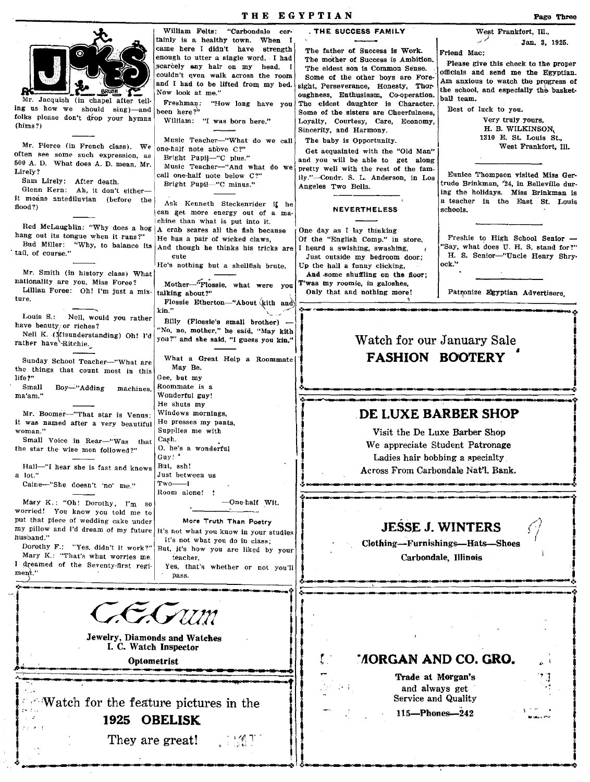THE EGYPTIAN Page Three William Felts: "Carbondale cer· THE SUCCESS FAMILY West Frankfort, III., tainly is a healt<mark>hy town. When I</mark><br>came here I didn't have strength Jan. 3, 1925. came here I didn't have The father of Success is Work. Friend Mac:<br>The mother of Success is Ambition. enough to utter a single word. I had The mother of Success is Ambition. Please give this check to the proper<br>The eldest son is Common Sense. scarcely any hair on my head. I The eldest son is Common Sense. (officials and send me the Egyptian. couldn't even walk across the room Some of the other boys are Fore-  $\{Am\}$  anxious to watch the progress of sight, Perseverance, Honesty, Thor and I had to be lifted from my bed. the school, and especially the basket-Now look at me." oughness, Enthusiasm, Co-operation.  $\begin{bmatrix} \text{inc} \\ \text{ball} \end{bmatrix}$  team. Jacquish (in chapel after tell- Freshman: "How long have you The eldest daughter is Character.  $\begin{bmatrix} \text{para team.} \\ \text{Best of luck to you.} \end{bmatrix}$ ing us how we should sing)-and been here?" Some of the sisters are Cheerfulness. folks please don't drop your hymns  $(hims?)$ Very truly yours, William: "I was born here." Loyalty, Courtesy, Care, Economy, Sincerity, and Harmony. H. B. WILKINSON, 1310 E. St. Louis St., Music Teacher-"What do we call<br>one-half note above  $C$ ?" The haby is Opportunity. Mr. Pierce (in French class). We West Frankfort, Ill. Get acquainted with the "Old Man" often see some such expression, as Bright Pupil-"C plus." and you will be able to get along  $500$  A. D. What does A. D. mean, Mr. Music Teacher-"And what do we Lirely? pretty well with the rest of the famcall one-half note below C?" Eunice Thompson visited Miss Gerily."-Condr. S. L. Anderson, in Los Sam Lirely: After death. trude Brinkman, '24, in Belleville dur-Bright Pupil-"C minus." Angeles Two Bells. Glenn Kern: Ah, it don't eithering the holidays. Miss Brinkman Is it means antediluvian (before the a teacher in the East St. Louis Ask Kenneth Steckenrider I, he flood?) NEVERTHELESS schools. can get more energy out of a machine than what is put into it. Red McLaughlin: "Why does a hog  $A$  crab scares all the fish because<br>hang out its tongue when it runs?" He has a nair of wicked clause One day as I lay thinking ang out its tongue when it runs?" | He has a pair of wicked claws,<br>Bud Miller: "Why, to balance its and though he thinks his tric Of the "English Comp," in store, Freshie to High School Senior - Say, what does U. H. S. stand for?" Bud Miller: "Why, to balance its And though he thinks his tricks are tail, of course." cute I heard a swishing, swashing, H. S. Senior-"Uncle Henry Shry-Just outside my bedroom door.; ock." He's nothing but a shellfish brute. Up the hall a funny Clicking, Mr. Smith (in history class) What And some shuffling on the floor;<br>T'was my roomie, in galoshes. nationality are you. Miss Foree? Mother-"Flossie, what were you  $\begin{bmatrix} \text{T'was my roomie, in galoshes, } \\ \text{Only that and nothing more!} \end{bmatrix}$ Lillian Foree: Oh! I'm just a mix-Patronize Egyptian Advertisers. ture. Flossie Etherton-"About (kith and) ... ---~ Louis S.: Nell, would you rather have beauty: or riches? Billy (Flossie's small brother) \_I I Billy (Flossie's small brother) —<br>'No, no, mother," he said, "May kith" Nell K. (Misunderstanding) Oh! I'd you?" and she said, "I guess you kin," Watch for our January Sale rather have Ritchie. FASHION BOOTERY What a Great Help a Roommate Sunday School Teacher-"What are May Be. the things that count most in this life?" Gee, but my<br>Roommate is a Small Boy-''Adding machines, ma'am." Wonderful guy! He shuts my DE LUXE BARBER SHOP Mr. Boomer-"That star is Venus; Windows mornings, was named after a very hospital  $[He$  presses my pants. it was named after a very beautiful<br>woman." Supplies me with , Visit the De Luxe Barber Shop Small Voice in Rear-"Was that  $\begin{bmatrix} \text{Cap.} \\ \text{O.} \text{he's a wonderful} \end{bmatrix}$  o. he's a wonderful We appreciate Student Patronage the star the wise men followed?" Guy! Ladies hair bobbing a specialty Hall-"I hear she is fast and knows  $\left| \begin{smallmatrix} \text{But,} \end{smallmatrix} \right|$  ssh! Across From Carbondale Nat'l. Bank. a lot." Just between us  $Tw$ o $\longrightarrow$ I Caine--"She doesn't 'no' me." Hoom alone! JESSE J. WINTERS<br>Clothing-Furnishings-Hats-Shoes<br>Carbondale, Illinois Mary K.: "Oh! Dorothy, I'm so -One-half WIt. -Il-L-II-'~'.' worried! You know YOU told me to  $\varphi$  | put that piece of wedding cake under More Truth Than Poetry my pillow and I'd dream of my future It's not what you know in your studies husband."<br>Dorothy F.: "Yes, didn't it work?" It's not wbat you do in class; J But, it's how you are liked by your Mary K.: "That's what worries me teacher, I dreamed of the Seventy-first regif Yes, that's whether or not you'll  $\frac{1}{2}$ .  $ment.'$ pass. i . :.~---~~< ....... --.~ **EGyun** I ,. I . . J Jewelry, Diamonds and Watches I. C. Watch Inspector *r .*  ' NORGAN AND CO. GRO. Optometrist Trade at Morgan's .: and always get

> Service and Quality 115-Phones-242

> > $\frac{1}{2}$

 $\sim$ Watch for the feature pictures in the 1925 OBELISK

They are great!

 $\mathcal{L} = \mathcal{L} \times \mathcal{L}$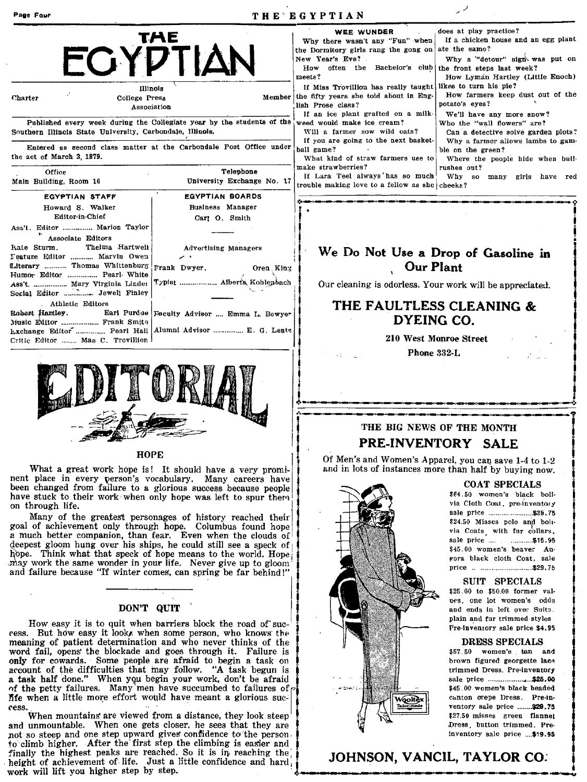| Page Four                                                                                                                               |                                                                        | THE EGYPTIAN                                                                                                                                                                                                                                                            |                                                                                                                                                                                                                    |
|-----------------------------------------------------------------------------------------------------------------------------------------|------------------------------------------------------------------------|-------------------------------------------------------------------------------------------------------------------------------------------------------------------------------------------------------------------------------------------------------------------------|--------------------------------------------------------------------------------------------------------------------------------------------------------------------------------------------------------------------|
| Illinois<br>Charter<br>College Press                                                                                                    | TAE<br>ECYPTIAN<br>Member                                              | <b>WEE WUNDER</b><br>Why there wasn't any "Fun" when<br>the Dormitory girls rang the gong on<br>New Year's Eve?<br>How often the Bachelor's club the front steps last week?<br>meets?<br>If Miss Trovillion has really taught<br>the fifty years she told about in Eng- | does at play practice?<br>If a chicken house and an egg plant<br>ate the same?<br>Why a "detour" sign was put on<br>How Lyman Hartley (Little Enoch)<br>likes to turn his pie?<br>How farmers keep dust out of the |
| Association                                                                                                                             |                                                                        | lish Prose class?                                                                                                                                                                                                                                                       | potato's eyes?                                                                                                                                                                                                     |
| Southern Illinois State University, Carbondale, Illinois.                                                                               | Published every week during the Collegiate year by the students of the | If an ice plant grafted on a milk-<br>weed would make ice cream?<br>Will a farmer sow wild oats?<br>If you are going to the next basket-                                                                                                                                | We'll have any more snow?<br>Who the "wall flowers" are?<br>Can a detective solve garden plots?<br>Why a farmer allows lambs to gam-                                                                               |
| the act of March 3, 1879.                                                                                                               | Entered as second class matter at the Carbondale Post Office under     | ball game?<br>What kind of straw farmers use to                                                                                                                                                                                                                         | ble on the green?<br>Where the people hide when bull-                                                                                                                                                              |
| Office<br>Main Building, Room 16                                                                                                        | Telephone<br>University Exchange No. 17                                | make strawberries?<br>If Lara Teel always has so much<br>trouble making love to a fellow as she cheeks?                                                                                                                                                                 | rushes out?<br>Why so<br>many<br>girls have red                                                                                                                                                                    |
| <b>EGYPTIAN STAFF</b>                                                                                                                   | <b>EGYPTIAN BOARDS</b>                                                 |                                                                                                                                                                                                                                                                         |                                                                                                                                                                                                                    |
| Howard S. Walker                                                                                                                        | Business Manager                                                       |                                                                                                                                                                                                                                                                         |                                                                                                                                                                                                                    |
| Editor-in-Chief                                                                                                                         | Carl O. Smith                                                          |                                                                                                                                                                                                                                                                         |                                                                                                                                                                                                                    |
| Ass't. Editor  Marion Taylor<br>Associate Editors                                                                                       |                                                                        |                                                                                                                                                                                                                                                                         |                                                                                                                                                                                                                    |
| Thelma Hartwell<br>Kate Sturm.<br>Feature Editor  Marvin Owen<br>Literary  Thomas Whittenburg Frank Dwyer.<br>Humor Editor  Pearl White | <b>Advertising Managers</b><br>Oren King                               | <b>Our Plant</b>                                                                                                                                                                                                                                                        | We Do Not Use a Drop of Gasoline in                                                                                                                                                                                |
| Ass't  Mary Virginia Linder<br>Social Editor  Jewell Finley                                                                             |                                                                        | Our cleaning is odorless. Your work will be appreciated.                                                                                                                                                                                                                |                                                                                                                                                                                                                    |
| Athletic Editors<br>Robert Hartley.<br>Music Editor  Frank Smith                                                                        | Earl Purdue Feculty Advisor  Emma L. Bowyer                            | DYEING CO.                                                                                                                                                                                                                                                              | THE FAULTLESS CLEANING &                                                                                                                                                                                           |
| Lxchange Editor  Pearl Hall   Alumni Advisor  E. G. Lents<br>Critic Editor  Mae C. Trovillion                                           |                                                                        |                                                                                                                                                                                                                                                                         | 210 West Monroe Street                                                                                                                                                                                             |
|                                                                                                                                         |                                                                        | Phone 332-L                                                                                                                                                                                                                                                             |                                                                                                                                                                                                                    |

į.

## , ..... \_------\_.\_---'--'---------**-\_ ......... \_.** THE BIG NEWS OF THE MONTH PRE-INVENTORY SALE

HOPE **HOPE** is! It should have a very promi-  $\begin{bmatrix} 1 & 0 \end{bmatrix}$  of Men's and Women's Apparel, you can save 1-4 to 1-2 and in lots of instances more than half by buying now.

i \_\_ ~I--.~ \_\_\_\_\_ ~"\_.:.



'-·~

f

 $$25.60$  to  $$50.00$  former values, one lot women's odds

nent place in every person's vocabulary. Many careers have  $\int$  COAT SPECIALS contract COAT SPECIALS been changed from failure to a glorious success because people I . and the Stuck to their work· when only hope was left to spur them  $\frac{1}{\sqrt{1-\frac{1}{\sqrt{1-\frac{1}{\sqrt{1-\frac{1}{\sqrt{1-\frac{1}{\sqrt{1-\frac{1}{\sqrt{1-\frac{1}{\sqrt{1-\frac{1}{\sqrt{1-\frac{1}{\sqrt{1-\frac{1}{\sqrt$ 

Many of the greatest personages of history reached their<br>goal of achievement only through hope. Columbus found hope<br>a much better companion, than fear. Even when the clouds of<br>deepest gloom hung over his ships, he could st Repest gloom hung over his ships, he could still see a speck of the speck of the state price of the speck of the speck of the world. Hope and the world is the speck of the world. Hope is beaver and the speck of hope means Jnay work the same wonder in your life, Never give up to gloom' I J and failure because "If winter comes', can spring be far behind!" price ........ \_\_ . \_\_\_ .. ".,, \_\_\_\_ .. \_\_ ,\$2.9.75 Leh better companion, than fear. Even when the clouds of sale bries the companion, than fear. Even when the clouds of sale bries the word. Hope and still see a speck of the word. Hope with what that speck of the same to th

I How easy it is to quit when barriers block the road of suc- $\frac{1}{2}$   $\frac{1}{2}$  Pre-inventory sale price \$4.95 ress. But how easy it look, when some person, who knows the meaning of patient determination and who never thinks of the I' DRESS SPECIALS<br>word fail, opens the blockade and goes through it. Failure is I and It Is a str.50 women's tan and word fail, opens the blockade and goes through it. Failure is  $\frac{1}{2}$   $\frac{1}{2}$   $\frac{1}{2}$  \$57.50 women's tan and only for cowards. Some people are afraid to begin a task on only for cowards. Some people are afraid to begin a task on brown figured georgette lace account of the difficulties that may follow. "A task begun is account of the difficulties that may follow. "A task begun is I trimmed Dress. Pre-inventory<br>a task half done." When you begin your work, don't be afraid only for cowards. Some people are afraid to begin a task on a secount of the difficulties that may follow. "A task begun is a task half done." When you begin your work, don't be afraid in the petty failures. Many men have J5fe when a httTe mo~e effort would have meant a glOrIOUS su(:~ , canton crepe Dress. Pre·in· ress. . .. . I ventoty sale price .. " .... \$29. 7!1

When mountains are viewed from a distance, they look steep  $\frac{1}{2}$   $\frac{1}{2}$   $\frac{1}{2}$   $\frac{1}{2}$   $\frac{1}{2}$   $\frac{1}{2}$   $\frac{1}{2}$   $\frac{1}{2}$   $\frac{1}{2}$   $\frac{1}{2}$   $\frac{1}{2}$   $\frac{1}{2}$   $\frac{1}{2}$   $\frac{1}{2}$   $\frac{1}{2}$   $\frac{1}{2}$   $\$ and unmountable. When one gets closer, he sees that they are , and  $\mathbb{R}$  are , all the person of so steep and one step upward gives confidence to the person. not so steep and one step upward gives conflidence to the person. to climb higher. After the first step the climbing is easier and  $\lim_{n \to \infty}$   $\lim_{n \to \infty}$   $\lim_{n \to \infty}$   $\lim_{n \to \infty}$   $\lim_{n \to \infty}$   $\lim_{n \to \infty}$   $\lim_{n \to \infty}$   $\lim_{n \to \infty}$   $\lim_{n \to \infty}$   $\lim_{n \to \infty}$   $\lim_{n \to \infty}$   $\lim_{n \to \infty}$  finally the highest peaks are reached. So it is in reaching the; height of achievement of life. Just a little confidence and hard work will lift you higher step by step. height of achievement of life. Just a little confidence and hard.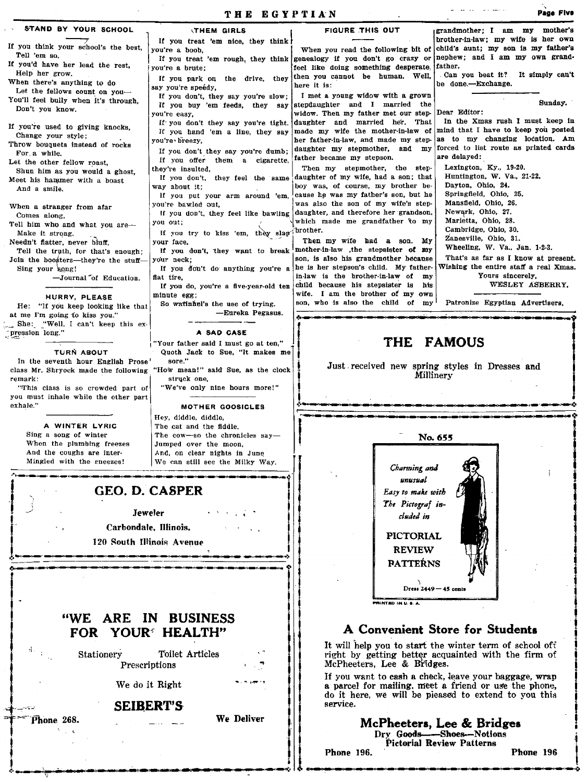| <b>THEM GIRLS</b>                                                                                                                                                                                                                                                                                                                                                                                                                                                                                                                                                                                                                                                                                                                          | <b>FIGURE THIS OUT</b>                                                                                                                                                                                                                                                                                                                                                                                                                                                                                                                                                                                                                                                                                                                                                                                                                                                                                                                                                                                                               | grandmother; I am my mother's                                                                                                                                                                                                                                                                                                                                                                                                                                                                                                                                                                                                                                                                                                                                                                                                                                                          |
|--------------------------------------------------------------------------------------------------------------------------------------------------------------------------------------------------------------------------------------------------------------------------------------------------------------------------------------------------------------------------------------------------------------------------------------------------------------------------------------------------------------------------------------------------------------------------------------------------------------------------------------------------------------------------------------------------------------------------------------------|--------------------------------------------------------------------------------------------------------------------------------------------------------------------------------------------------------------------------------------------------------------------------------------------------------------------------------------------------------------------------------------------------------------------------------------------------------------------------------------------------------------------------------------------------------------------------------------------------------------------------------------------------------------------------------------------------------------------------------------------------------------------------------------------------------------------------------------------------------------------------------------------------------------------------------------------------------------------------------------------------------------------------------------|----------------------------------------------------------------------------------------------------------------------------------------------------------------------------------------------------------------------------------------------------------------------------------------------------------------------------------------------------------------------------------------------------------------------------------------------------------------------------------------------------------------------------------------------------------------------------------------------------------------------------------------------------------------------------------------------------------------------------------------------------------------------------------------------------------------------------------------------------------------------------------------|
| If you treat 'em nice, they think !<br>you're a boob,<br>you're a brute:<br>If you park on the drive, they<br>say you're speedy,<br>If you don't, they say you're slow;<br>If you buy 'em feeds, they say<br>you're easy,<br>if you don't they say you're tight.<br>If you hand 'em a line, they say<br>you're breezy.<br>If you don't they say you're dumb:<br>If you offer them a cigarette,<br>they're insulted,<br>way about it;<br>If you put your arm around 'em,<br>you're bawled out,<br>you out;<br>your face,<br>your neck;<br>flat tire.<br>minute egg;<br>So watinuel's the use of trying.<br>-Eureka Pegasus.<br>A SAD CASE<br>"Your father said I must go at ten,"<br>sore."<br>struck ene,<br>"We've only nine hours more!" | When you read the following bit of<br>feel like doing something desperate<br>then you cannot be human. Well,<br>here it is:<br>I met a young widow with a grown<br>stepdaughter and I married the<br>widow. Then my father met our step-<br>daughter and married her.<br>That<br>made my wife the mother-in-law of<br>her father-in-law, and made my step-<br>daughter my stepmother,<br>and my<br>father became my stepson.<br>Then my stepmother, the step-<br>daughter of my wife, had a son; that<br>boy was, of course, my brother be-<br>cause he was my father's son, but he<br>was also the son of my wife's step-<br>daughter, and therefore her grandson.<br>which made me grandfather to my<br>Then my wife had a son. My<br>mother-in-law the stepsister of my<br>son, is also his grandmother because<br>he is her stepson's child. My father-<br>in-law is the brother-in-law of<br>my<br>child because his stepsister is<br>his<br>wife. I am the brother of my own<br>son, who is also the child of my<br><b>THE</b> | brother-in-law: my wife is her own<br>child's aunt; my son is my father's<br>nephew; and I am my own grand-<br>father.<br>Can you beat it? It simply can't<br>be done.--Exchange.<br>Sunday.<br>Dear Editor:<br>In the Xmas rush I must keep in<br>mind that I have to keep you posted<br>as to my changing location. Am<br>forced to list route as printed cards<br>are delayed:<br>Lexington, Ky., 19-20.<br>Huntington, W. Va., 21-22.<br>Dayton, Ohio, 24.<br>Springfield, Ohio, 25.<br>Mansfield, Ohio, 26.<br>Newark, Ohio, 27.<br>Marietta, Ohio, 28.<br>Cambridge, Ohio, 30.<br>Zanesville, Ohio, 31.<br>Wheeling, W. Va., Jan. 123.<br>That's as far as I know at present.<br>Wishing the entire staff a real Xmas.<br>Yours sincerely,<br>WESLEY ASBERRY.<br>Patronize Egyptian Advertisers.<br><b>FAMOUS</b><br>Just received new spring styles in Dresses and<br>Millinerv |
| MOTHER GOOSICLES                                                                                                                                                                                                                                                                                                                                                                                                                                                                                                                                                                                                                                                                                                                           |                                                                                                                                                                                                                                                                                                                                                                                                                                                                                                                                                                                                                                                                                                                                                                                                                                                                                                                                                                                                                                      |                                                                                                                                                                                                                                                                                                                                                                                                                                                                                                                                                                                                                                                                                                                                                                                                                                                                                        |
| The cat and the fiddle.<br>The cow-so the chronicles say-<br>Jumped over the moon.<br>And, on clear nights in June<br>We can still see the Milky Way.                                                                                                                                                                                                                                                                                                                                                                                                                                                                                                                                                                                      | Charming and<br>unusual<br>Easy to make with<br>The Pictograf in-<br>cluded in<br><b>PICTORIAL</b><br><b>REVIEW</b><br><b>PATTERNS</b>                                                                                                                                                                                                                                                                                                                                                                                                                                                                                                                                                                                                                                                                                                                                                                                                                                                                                               | No. 655                                                                                                                                                                                                                                                                                                                                                                                                                                                                                                                                                                                                                                                                                                                                                                                                                                                                                |
| He: "If you keep looking like that<br>She: "Well, I can't keep this ex-<br>In the seventh hour English Prose<br>class Mr. Shryock made the following<br>"This class is so crowded part of<br>you must inhale while the other part                                                                                                                                                                                                                                                                                                                                                                                                                                                                                                          | Hey, diddle, diddle,<br>GEO. D. CASPER<br>Jeweler<br>Carbondale, Illinois.<br>120 South Illinois Avenue                                                                                                                                                                                                                                                                                                                                                                                                                                                                                                                                                                                                                                                                                                                                                                                                                                                                                                                              | If you treat 'em rough, they think genealogy if you don't go crazy or<br>If you don't, they feel the same<br>If you don't, they feel like bawling<br>If you try to kiss 'em, they slap prother.<br>If you don't, they want to break<br>If you don't do anything you're a<br>If you do, you're a five-year-old ten<br>Quoth Jack to Sue, "It makes me<br>"How mean!" said Sue, as the clock                                                                                                                                                                                                                                                                                                                                                                                                                                                                                             |

## "WE ARE IN BUSINESS<br>FOR YOUR<sup>®</sup> HEALTH"

 $\mathbf{I}$   $\mathbf{I}$   $\mathbf{I}$   $\mathbf{I}$   $\mathbf{I}$   $\mathbf{I}$   $\mathbf{I}$   $\mathbf{I}$   $\mathbf{I}$   $\mathbf{I}$   $\mathbf{I}$   $\mathbf{I}$   $\mathbf{I}$   $\mathbf{I}$   $\mathbf{I}$   $\mathbf{I}$   $\mathbf{I}$   $\mathbf{I}$   $\mathbf{I}$   $\mathbf{I}$   $\mathbf{I}$   $\mathbf{I}$   $\mathbf{I}$   $\mathbf{I}$   $\mathbf{$ 

,,

 $\left| \begin{array}{ccc} 1 & \text{do it he} \\ \text{service.} \end{array} \right|$ 

FOR YOUR<sup> $\epsilon$ </sup> HEALTH" 141 **141 • It will help you to start the winter term of school off It will help you to start the winter term of school off ight by getting better acquainted with the firm of McPheeters, Lee & Bridges** 

I PreKcriptions .. I McPheeters, Lee & lWidges. We do it Right  $\begin{bmatrix} 1 & 1 \end{bmatrix}$  If you want to cash a check, leave your baggage, wrap a parcel for mailing. meet a friend or use the phone, do it here, we will be pleased to extend to you this service. WE ARE IN BUSINESS<br>
FOR YOUR<sup>5</sup> HEALTH"<br>
Stationery Toilet Articles<br>
Prescriptions<br>
Prescriptions<br>
We do it Right<br>
SEIBERT'S<br>
Thone 268.<br>
The Phone 196.<br>
SEIBERT'S<br>
We Deliver<br>
We Deliver<br>
McPheeters, Lee & Bridges<br>
Dry Go

## SEIBERT'S<br>Thone 268. Second the Deliver of the McPheeters, Lee & Bridges<br>Dry Goods—Shoes—Notions Phone 196. **Phone 196.** Phone 196 .'!.~~~~~""''''1~11~r4llli1'''''~1~~~'''''~''''''~~' ~ ~~.-......-...cl~~~ \_\_ ~~ ......................... )

""',"&0 IN u .•. A.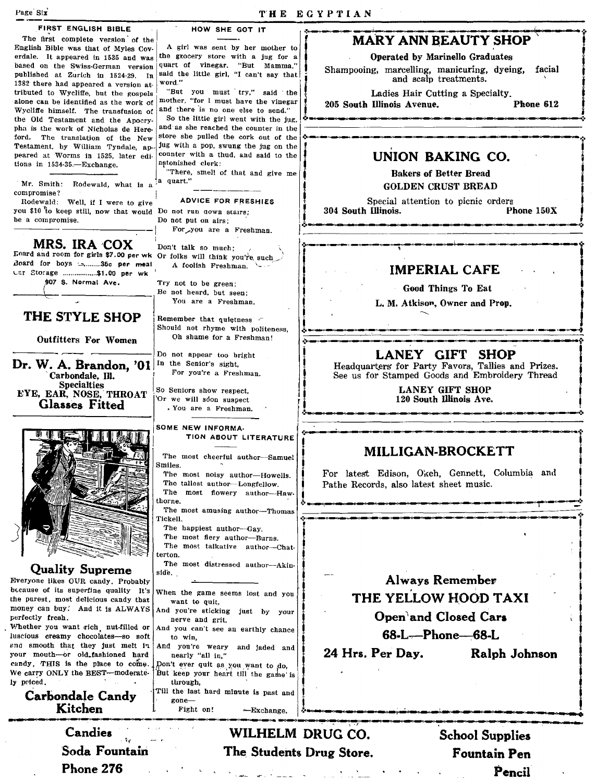Pencil

| Page Six                                                                           |                                                                                | THE EGYPTIAN                                                                                         |
|------------------------------------------------------------------------------------|--------------------------------------------------------------------------------|------------------------------------------------------------------------------------------------------|
| FIRST ENGLISH BIBLE                                                                | HOW SHE GOT IT                                                                 |                                                                                                      |
| The first complete version of the<br>English Bible was that of Myles Cov-          | A girl was sent by her mother to                                               | <b>MARY ANN BEAUTY SHOP</b>                                                                          |
| erdale. It appeared in 1535 and was                                                | the grocery store with a jug for a                                             | Operated by Marinello Graduates                                                                      |
| based on the Swiss-German version<br>published at Zurich in 1524-29. In            | quart of vinegar. "But Mamma,"<br>said the little girl, "I can't say that      | Shampooing, marcelling, manicuring, dyeing,<br>facial                                                |
| 1382 there had appeared a version at-                                              | word."                                                                         | and scalp treatments.                                                                                |
| tributed to Wycliffe, but the gospels<br>alone can be identified as the work of    | "But you must try," said the<br>mother, "for I must have the vinegar           | Ladies Hair Cutting a Specialty.                                                                     |
| Wycliffe himself. The transfusion of                                               | and there is no one else to send."                                             | Phone 612<br>205 South Illinois Avenue.                                                              |
| the Old Testament and the Apocry-<br>pha is the work of Nicholas de Here-          | So the little girl went with the jug,<br>and as she reached the counter in the |                                                                                                      |
| ford. The translation of the New                                                   | store she pulled the cork out of the                                           |                                                                                                      |
| Testament, by William Tyndale, ap-                                                 | jug with a pop, swung the jug on the<br>counter with a thud, and said to the   |                                                                                                      |
| peared at Worms in 1525, later edi-<br>tions in $1534-35$ -Exchange.               | astonished clerk:                                                              | UNION BAKING CO.                                                                                     |
|                                                                                    | "There, smell of that and give me<br>a quart."                                 | <b>Bakers of Better Bread</b>                                                                        |
| Mr. Smith: Rodewald, what is a<br>compromise?                                      |                                                                                | <b>GOLDEN CRUST BREAD</b>                                                                            |
| Rodewald: Well, if I were to give                                                  | <b>ADVICE FOR FRESHIES</b>                                                     | Special attention to picnic orders                                                                   |
| you \$10 to keep still, now that would Do not run down stairs;<br>be a compromise. | Do not put on airs:                                                            | 304 South Illinois.<br>Phone 150X                                                                    |
|                                                                                    | For you are a Freshman.                                                        |                                                                                                      |
| MRS. IRA COX                                                                       |                                                                                |                                                                                                      |
| Foard and room for girls \$7.00 per wk Or folks will think you're such             | Don't talk so much;                                                            |                                                                                                      |
| Board for boys :35c per meal<br>Car Storage \$1.00 per wk                          | A foolish Freshman $\sim$ .                                                    | <b>IMPERIAL CAFE</b>                                                                                 |
| 907 S. Normal Ave.                                                                 | Try not to be green;                                                           |                                                                                                      |
|                                                                                    | Be not heard, but seen:                                                        | <b>Good Things To Eat</b>                                                                            |
|                                                                                    | You are a Freshman.                                                            | L. M. Atkison, Owner and Prop.                                                                       |
| THE STYLE SHOP                                                                     | Remember that quietness -                                                      |                                                                                                      |
|                                                                                    | Should not rhyme with politeness,<br>Oh shame for a Freshman!                  |                                                                                                      |
| Outfitters For Women                                                               |                                                                                |                                                                                                      |
|                                                                                    | Do not appear too bright<br>In the Senior's sight,                             | <b>LANEY GIFT SHOP</b>                                                                               |
| Dr. W. A. Brandon, '01<br>Carbondale, Ill.                                         | For you're a Freshman.                                                         | Headquarters for Party Favors, Tallies and Prizes.<br>See us for Stamped Goods and Embroidery Thread |
| <b>Specialties</b>                                                                 | So Seniors show respect,                                                       | <b>LANEY GIFT SHOP</b>                                                                               |
| EYE, EAR, NOSE, THROAT                                                             | Or we will soon suspect                                                        | 120 South Illinois Ave.                                                                              |
| <b>Glasses Fitted</b>                                                              | . You are a Freshman.                                                          |                                                                                                      |
|                                                                                    | SOME NEW INFORMA-                                                              |                                                                                                      |
|                                                                                    | TION ABOUT LITERATURE                                                          |                                                                                                      |
|                                                                                    | The most cheerful author-Samuel                                                | MILLIGAN-BROCKETT                                                                                    |
|                                                                                    | Smiles.                                                                        |                                                                                                      |
|                                                                                    | The most noisy author-Howells.<br>The tallest author-Longfellow.               | For latest Edison, Okeh, Gennett, Columbia and<br>Pathe Records, also latest sheet music.            |
|                                                                                    | The<br>most flowery author-Haw-                                                |                                                                                                      |
|                                                                                    | horne.<br>The most amusing author-Thomas                                       |                                                                                                      |
|                                                                                    | Tickell.                                                                       |                                                                                                      |
|                                                                                    | The happiest author-Gay.                                                       |                                                                                                      |
|                                                                                    | The most fiery author-Burns.<br>The most talkative author-Chat-                |                                                                                                      |
|                                                                                    | terton.                                                                        |                                                                                                      |
| <b>Quality Supreme</b>                                                             | The most distressed author---Akin-<br>side.                                    |                                                                                                      |
| Everyone likes OUR candy. Probably                                                 |                                                                                | <b>Always Remember</b>                                                                               |
| because of its superfine quality It's<br>the purest, most delicious candy that     | When the game seems lost and you<br>want to quit.                              | THE YELLOW HOOD TAXI                                                                                 |
| money can buy. And it is ALWAYS                                                    | And you're sticking just by your                                               |                                                                                                      |
| perfectly fresh.<br>Whether you want rich nut-filled or                            | nerve and grit,<br>And you can't see an earthly chance                         | Open'and Closed Cars                                                                                 |
| luscious creamy chocolates-so soft                                                 | to win,                                                                        | 68-L-Phone-68-L                                                                                      |
| and smooth that they just melt in<br>your mouth-or old fashioned hard              | And you're weary and jaded and<br>nearly "all in,"                             | 24 Hrs. Per Day.<br>Ralph Johnson                                                                    |
| candy. THIS is the place to come.                                                  | Don't ever quit as you want to do,                                             |                                                                                                      |
| We carry ONLY the BEST-moderate-                                                   | But keep your heart till the game is                                           |                                                                                                      |
| ly priced.                                                                         | through,<br>Till the last hard minute is past and                              |                                                                                                      |
| <b>Carbondale Candy</b>                                                            | gone-                                                                          |                                                                                                      |
| Kitchen                                                                            | Fight on!<br>—Exchange.                                                        |                                                                                                      |
| Candies                                                                            | WILHELM DRUG CO.                                                               | <b>School Supplies</b>                                                                               |
| Soda Fountain                                                                      |                                                                                |                                                                                                      |
|                                                                                    | The Students Drug Store.                                                       | <b>Fountain Pen</b>                                                                                  |
| Phone 276                                                                          |                                                                                | Pencil                                                                                               |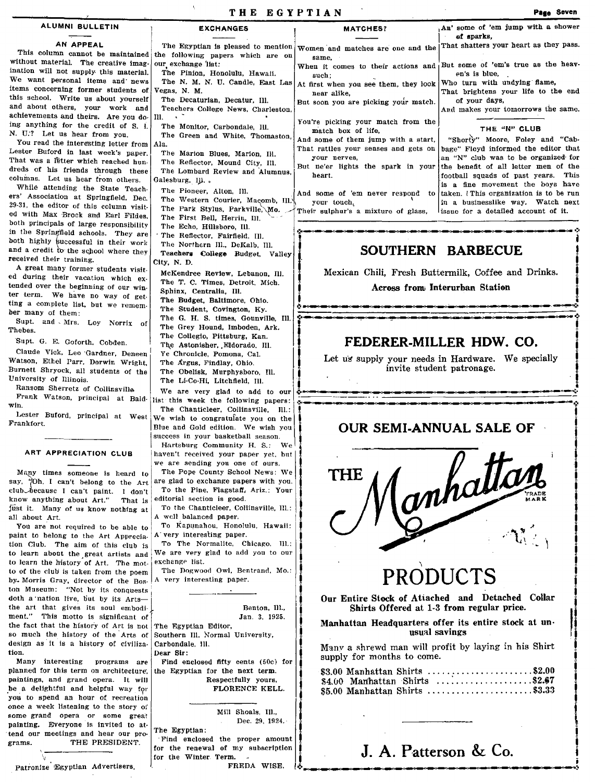| ALUMNI BULLETIN                                                                                                               |                                                                                                   |                                                                                                                                                                    | An' some of 'em jump with a shower                                                         |
|-------------------------------------------------------------------------------------------------------------------------------|---------------------------------------------------------------------------------------------------|--------------------------------------------------------------------------------------------------------------------------------------------------------------------|--------------------------------------------------------------------------------------------|
|                                                                                                                               | <b>EXCHANGES</b>                                                                                  | <b>MATCHES?</b>                                                                                                                                                    | of sparks,                                                                                 |
| AN APPEAL<br>without material. The creative imag-                                                                             | This column cannot be maintained the following papers which are on<br>our exchange list:          | The Egyptian is pleased to mention $\sqrt{\text{women}}$ and matches are one and the That shatters your heart as they pass.<br>same.                               |                                                                                            |
| ination will not supply this material.<br>We want personal items and news<br>items concerning former students of              | The Pinion, Honolulu, Hawali.<br>The N. M. N. U. Candle, East Las<br>Vegas. N. M.                 | such:<br>At first when you see them, they look   Who turn with undying flame,                                                                                      | When it comes to their actions and But some of 'em's true as the heav-<br>en's is blue,    |
| this school. Write us about yourself<br>and about others, your work and<br>achievements and theirs. Are you do   Ill. $\cdot$ | The Decaturian, Decatur, Ill.<br>Teachers College News, Charleston,                               | near alike.<br>But soon you are picking your match.                                                                                                                | That brightens your life to the end<br>of your days,<br>And makes your tomorrows the same. |
| ing anything for the credit of S. I.<br>N. U.? Let us hear from you.                                                          | The Monitor, Carbondale, Ill.<br>The Green and White, Thomaston,                                  | You're picking your match from the<br>match box of life,                                                                                                           | THE "N" CLUB<br>And some of them jump with a start, "Shorty" Moore, Foley and "Cab-        |
| You read the interesting letter from Ala.<br>Lester Buford in last week's paper.<br>That was a letter which reached hun-      | The Marion Blues, Marion, IH.<br>The Reflector, Mound City, Ill.                                  | That rattles your senses and gets on bage" Floyd informed the editor that<br>your nerves,                                                                          | an "N" club was to be organized for                                                        |
| dreds of his friends through these<br>columns. Let us hear from others.<br>While attending the State Teach-                   | The Lombard Review and Alumnus.<br>Galesburg, ILL.                                                | But ne'er lights the spark in your the benefit of all letter men of the<br>heart.                                                                                  | football squads of past years. This<br>is a fine movement the boys have                    |
| ers' Association at Springfield, Dec.<br>29-31, the editor of this column visit-                                              | The Pioneer, Alton, Ill.<br>The Western Courier, Macomb, Ill.\<br>The Park Stylus, Parkville, Mo. | And some of 'em never respond to taken. (This organization is to be run<br>your touch.<br>Their sulphur's a mixture of glass, lissue for a detailed account of it. | in a businesslike way. Watch next                                                          |
| ed with Max Brock and Earl Fildes.<br>both principals of large responsibility<br>in the Springfield schools. They are         | The First Bell, Herrin, Ill.<br>The Echo, Hillsboro, Ill.<br>The Reflector, Fairfield, Ill.       |                                                                                                                                                                    |                                                                                            |
| both highly successful in their work                                                                                          | The Northern III DeKalb III                                                                       |                                                                                                                                                                    |                                                                                            |

 $\frac{1}{2}$ 

We are very glad to add to our  $\stackrel{\text{!}}{\bullet}$  ...

## The Renector, Farneld, Ill.<br>The Northern Ill., DeKalb, Ill.<br>Teachers College Budget, Valley<br>Tr. N.D.

City, N. D.<br>McKendree Review, Lebanon, III. | Mexican Chili, Fresh Buttermilk, Coffee and Drinks. McKendree Review, Lebanon, Ill.  $\begin{bmatrix} \frac{1}{2} \\ \frac{1}{2} \end{bmatrix}$  Mexican Chili, Fresh Buttermilk, Coffee a<br>The T. C. Times, Detroit. Mich.  $\begin{bmatrix} 1 \\ 1 \end{bmatrix}$  Mexican Chili, Fresh Buttermilk, Coffee a<br>Sphinx Controlling Ill.

# The Student, Collegio, Batteriore, Collegio, Distribute, Collegio, Pittsburg, Kan.<br>
The G. H. S. dimes, Gounville, Ill.<br>
Supt. and Mrs. Loy Norrix of The Grey Hound, Imboden, Ark.<br>
The Collegio, Pittsburg, Kan.<br>
The Colleg

Ye Chronicle, Pomona, Cal. **Let us** supply your needs in Hardware. We specially The Argus, Findlay, Ohio. **Ill. is a supply sour needs in Hardware.** We specially invite student patronage. The Assummer, Education II.<br>The Argust States, Finding Obelisk, Nurphyshoro, II.<br>The Argust States, Nurphyshoro, II.<br>The U-Co-Hi, Litchfield, II.<br>We are very glad to add to our structure in the Supply volume of the Student mvite student patronage.

\_\_ ~ \_\_\_\_ ~ ... a\_II\_--"\*';4

OUR SEMI-ANNUAL SALE OF

.:~~~~\_~~



## PRODUCTS

Our Entire Stock of Atiached and Detached Collar Shirts Offered at 1-3 from regular price.

IManhattan Headquarters offer its entire stock at un-<br>
I usual savings<br>
I Manv a shrewd man will profit by laying in his Shirt<br>
supply for months to come.

| \$3.00 Manhattan Shirts \$2.00  |  |
|---------------------------------|--|
| $$4.00$ Manhattan Shirts \$2.67 |  |
| \$5.00 Manhattan Shirts \$3.33  |  |

### say, "Oh, I can't belong to the Art

Thebes.

Frankfort.

club because I can't paint. I don't know anything about Art." That is editorial section is good.<br>
That it. Many of us know nothing at To the Chanticleer, Collinsville, Ill.: Just it. Many of us know nothing at all about Art.  $\begin{array}{|c|c|c|c|c|c|}\n\hline\nA & \text{well balanced paper.}\n\end{array}$ You are not required to be able to

and a credit to the school where they

Supt. G. E. Goforth, Cobden. Claude Vlck, Leo 'Gardner, Deneen Watson, Ethel Parr. Darwin Wright, Burnett ShrYOCk, all students of the

Ransom Sherretz of Collinsville.  $\texttt{Frank}$  Watson, principal at Bald- $\vert$ list

Lester Buford, principal at West

ART APPRECIATION CLUB Many times someone is heard to

A great many former students visit. ed during their vacation which ex. tended over the beginning of our win. ter term. We have no way of get. ting a complete list. but we remem. ber many of them:<br>Supt. and Mrs. Loy Norrix of

received their training.

UnIversity of Illinois.

paint to belong to the Art Apprecia. tion Club. The aim of this club is to learn about the great artists and We are very glad to add you to our to learn the history of  $\Delta r$ . The mot exchange list. to learn the history of Art. The motto of the club is taken from the poem by Morris Gray, director of the Bos.  $|A|$  very interesting paper. ton Museum: "Not by its conquests doth a nation live, but by its Artsthe art that gives its soul embodiment." This motto is significant of the fact that the history of Art is not The Egyptian Editor, so much the history of the Arts of Southern Ill. Normal University, design as it is a history of civiliza- Carbondale, lll. tion. Dear Sir:

planned for this term on architecture, the Egyptian for the next term.<br>paintings, and grand opera. It will Respectfully yours, paintings, and grand opera. It will <br>
be a delightful and helpful way for **FLORENCE KELL**. be a delightful and helpful way for you to spend an hour of recreation once a week listening to the story of some grand opera or some great painting. Everyone is invited to attend our meetings and hear our programs. THE PRESIDENT.

Patronize Egyptian Advertisers.

'v

Benton, Ill., Jan, 3. 1925.

The Northern III., DeKalb, Ill. Teachers College Budget, Valley

The Collegio, Pittsburg, Kan.<br>The Astonisher, Eldorado, III.

this week the following papers:

We wish to congratulate you on the Blue and Gold edition. We wish you

To Kapunahou. Honolulu, Hawaii:

To The Normalite, Chicago. Ill.:

The Dogwood Owl, Bentrand. Mo.:

A' very interesting paper.

success in your basketball season. Hartsburg Community H. S.: We haven't received your paper yet, but we are sending you one of ours. The Pope County School News: We are glad to exchange papers with you. To the Pine, Flagstaff, Ariz.: Your editorial section is good.

Sphinx, Centralia, III. The Budget, Baltimore, Ohio. The Student, Covington, Ky.<br>The G. H. S. times, Gounville, Ill.

win. The Chanticleer, Collinsville. Ill.:

Many interesting programs are Find enclosed fifty cents (50c) for anned for this term on architecture, the Egyptian for the next term.

Mill Shoals, III .. Dec. 29, 1924.'

The Egyptian: . Find enclosed the proper amount for the renewal of my subscription for the WInter Term. FREDA WISE.

## J. A. Patterson & Co.

.:.~~~--............ .......-....-......---~.-..-~~~.!-